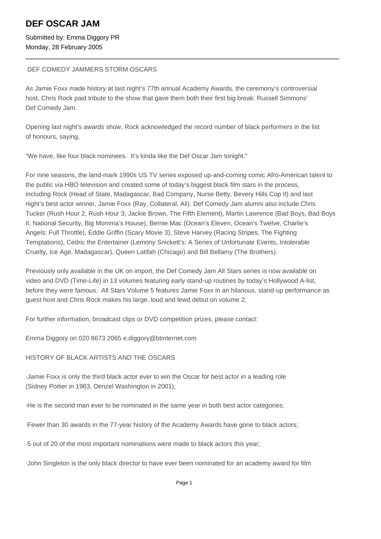# **DEF OSCAR JAM**

Submitted by: Emma Diggory PR Monday, 28 February 2005

### DEF COMEDY JAMMERS STORM OSCARS

As Jamie Foxx made history at last night's 77th annual Academy Awards, the ceremony's controversial host, Chris Rock paid tribute to the show that gave them both their first big break: Russell Simmons' Def Comedy Jam.

Opening last night's awards show, Rock acknowledged the record number of black performers in the list of honours, saying,

"We have, like four black nominees. It's kinda like the Def Oscar Jam tonight."

For nine seasons, the land-mark 1990s US TV series exposed up-and-coming comic Afro-American talent to the public via HBO television and created some of today's biggest black film stars in the process, including Rock (Head of State, Madagascar, Bad Company, Nurse Betty, Bevery Hills Cop II) and last night's best actor winner, Jamie Foxx (Ray, Collateral, Ali). Def Comedy Jam alumni also include Chris Tucker (Rush Hour 2, Rush Hour 3, Jackie Brown, The Fifth Element), Martin Lawrence (Bad Boys, Bad Boys II, National Security, Big Momma's House), Bernie Mac (Ocean's Eleven, Ocean's Twelve, Charlie's Angels: Full Throttle), Eddie Griffin (Scary Movie 3), Steve Harvey (Racing Stripes, The Fighting Temptations), Cedric the Entertainer (Lemony Snickett's: A Series of Unfortunate Events, Intolerable Cruelty, Ice Age, Madagascar), Queen Latifah (Chicago) and Bill Bellamy (The Brothers).

Previously only available in the UK on import, the Def Comedy Jam All Stars series is now available on video and DVD (Time-Life) in 13 volumes featuring early stand-up routines by today's Hollywood A-list, before they were famous. All Stars Volume 5 features Jamie Foxx in an hilarious, stand-up performance as guest host and Chris Rock makes his large, loud and lewd debut on volume 2.

For further information, broadcast clips or DVD competition prizes, please contact:

Emma Diggory on 020 8673 2065 e.diggory@btinternet.com

## HISTORY OF BLACK ARTISTS AND THE OSCARS

· Jamie Foxx is only the third black actor ever to win the Oscar for best actor in a leading role (Sidney Poitier in 1963, Denzel Washington in 2001);

· He is the second man ever to be nominated in the same year in both best actor categories;

- · Fewer than 30 awards in the 77-year history of the Academy Awards have gone to black actors;
- · 5 out of 20 of the most important nominations were made to black actors this year;
- · John Singleton is the only black director to have ever been nominated for an academy award for film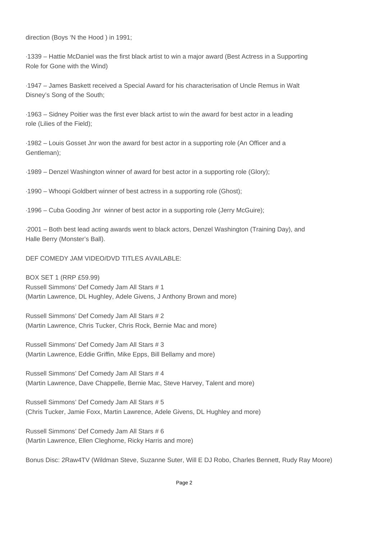direction (Boys 'N the Hood ) in 1991;

· 1339 – Hattie McDaniel was the first black artist to win a major award (Best Actress in a Supporting Role for Gone with the Wind)

· 1947 – James Baskett received a Special Award for his characterisation of Uncle Remus in Walt Disney's Song of the South;

· 1963 – Sidney Poitier was the first ever black artist to win the award for best actor in a leading role (Lilies of the Field);

· 1982 – Louis Gosset Jnr won the award for best actor in a supporting role (An Officer and a Gentleman);

· 1989 – Denzel Washington winner of award for best actor in a supporting role (Glory);

· 1990 – Whoopi Goldbert winner of best actress in a supporting role (Ghost);

· 1996 – Cuba Gooding Jnr winner of best actor in a supporting role (Jerry McGuire);

· 2001 – Both best lead acting awards went to black actors, Denzel Washington (Training Day), and Halle Berry (Monster's Ball).

DEF COMEDY JAM VIDEO/DVD TITLES AVAILABLE:

BOX SET 1 (RRP £59.99) Russell Simmons' Def Comedy Jam All Stars # 1 (Martin Lawrence, DL Hughley, Adele Givens, J Anthony Brown and more)

Russell Simmons' Def Comedy Jam All Stars # 2 (Martin Lawrence, Chris Tucker, Chris Rock, Bernie Mac and more)

Russell Simmons' Def Comedy Jam All Stars # 3 (Martin Lawrence, Eddie Griffin, Mike Epps, Bill Bellamy and more)

Russell Simmons' Def Comedy Jam All Stars # 4 (Martin Lawrence, Dave Chappelle, Bernie Mac, Steve Harvey, Talent and more)

Russell Simmons' Def Comedy Jam All Stars # 5 (Chris Tucker, Jamie Foxx, Martin Lawrence, Adele Givens, DL Hughley and more)

Russell Simmons' Def Comedy Jam All Stars # 6 (Martin Lawrence, Ellen Cleghorne, Ricky Harris and more)

Bonus Disc: 2Raw4TV (Wildman Steve, Suzanne Suter, Will E DJ Robo, Charles Bennett, Rudy Ray Moore)